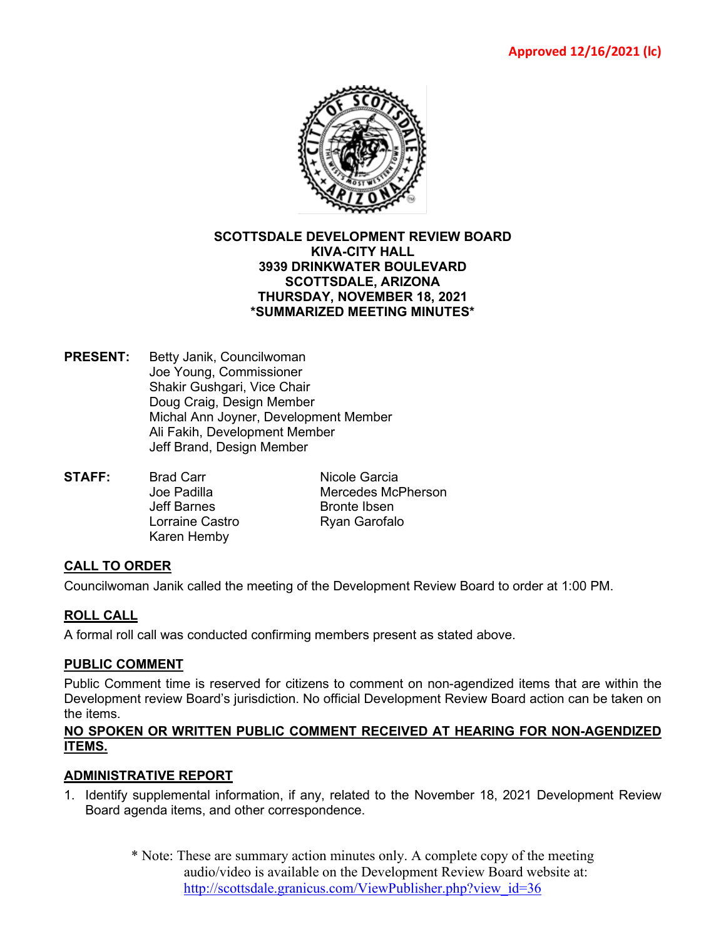

#### **SCOTTSDALE DEVELOPMENT REVIEW BOARD KIVA-CITY HALL 3939 DRINKWATER BOULEVARD SCOTTSDALE, ARIZONA THURSDAY, NOVEMBER 18, 2021 \*SUMMARIZED MEETING MINUTES\***

- **PRESENT:** Betty Janik, Councilwoman Joe Young, Commissioner Shakir Gushgari, Vice Chair Doug Craig, Design Member Michal Ann Joyner, Development Member Ali Fakih, Development Member Jeff Brand, Design Member
- **STAFF:** Brad Carr **Nicole Garcia**<br> **STAFF:** Joe Padilla Mercedes McI Jeff Barnes **Bronte Ibsen** Lorraine Castro **Ryan Garofalo** Karen Hemby

Mercedes McPherson

# **CALL TO ORDER**

Councilwoman Janik called the meeting of the Development Review Board to order at 1:00 PM.

# **ROLL CALL**

A formal roll call was conducted confirming members present as stated above.

### **PUBLIC COMMENT**

Public Comment time is reserved for citizens to comment on non-agendized items that are within the Development review Board's jurisdiction. No official Development Review Board action can be taken on the items.

## **NO SPOKEN OR WRITTEN PUBLIC COMMENT RECEIVED AT HEARING FOR NON-AGENDIZED ITEMS.**

# **ADMINISTRATIVE REPORT**

- 1. Identify supplemental information, if any, related to the November 18, 2021 Development Review Board agenda items, and other correspondence.
	- \* Note: These are summary action minutes only. A complete copy of the meeting audio/video is available on the Development Review Board website at: [http://scottsdale.granicus.com/ViewPublisher.php?view\\_id=36](http://scottsdale.granicus.com/ViewPublisher.php?view_id=36)